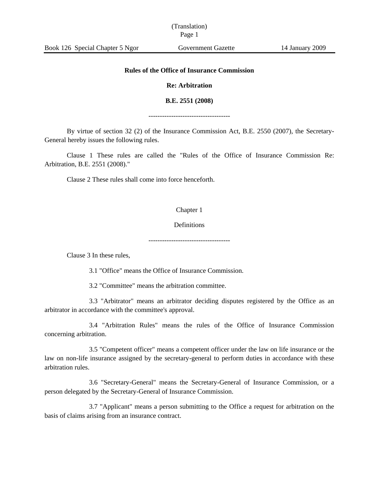# (Translation) Page 1

## **Rules of the Office of Insurance Commission**

## **Re: Arbitration**

#### **B.E. 2551 (2008)**

------------------------------------

By virtue of section 32 (2) of the Insurance Commission Act, B.E. 2550 (2007), the Secretary-General hereby issues the following rules.

Clause 1 These rules are called the "Rules of the Office of Insurance Commission Re: Arbitration, B.E. 2551 (2008)."

Clause 2 These rules shall come into force henceforth.

#### Chapter 1

### Definitions

------------------------------------

Clause 3 In these rules,

3.1 "Office" means the Office of Insurance Commission.

3.2 "Committee" means the arbitration committee.

3.3 "Arbitrator" means an arbitrator deciding disputes registered by the Office as an arbitrator in accordance with the committee's approval.

3.4 "Arbitration Rules" means the rules of the Office of Insurance Commission concerning arbitration.

3.5 "Competent officer" means a competent officer under the law on life insurance or the law on non-life insurance assigned by the secretary-general to perform duties in accordance with these arbitration rules.

3.6 "Secretary-General" means the Secretary-General of Insurance Commission, or a person delegated by the Secretary-General of Insurance Commission.

3.7 "Applicant" means a person submitting to the Office a request for arbitration on the basis of claims arising from an insurance contract.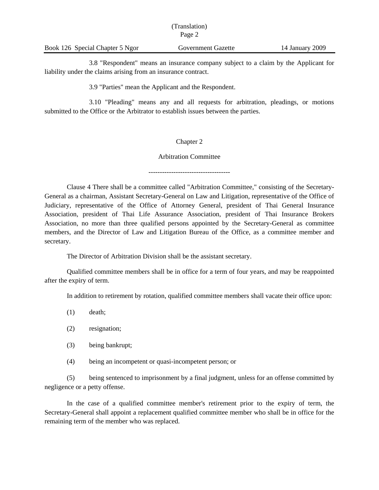|                                 | THAILSIAUUILL<br>Page 2 |                 |  |
|---------------------------------|-------------------------|-----------------|--|
| Book 126 Special Chapter 5 Ngor | Government Gazette      | 14 January 2009 |  |

(Translation)

3.8 "Respondent" means an insurance company subject to a claim by the Applicant for liability under the claims arising from an insurance contract.

3.9 "Parties" mean the Applicant and the Respondent.

3.10 "Pleading" means any and all requests for arbitration, pleadings, or motions submitted to the Office or the Arbitrator to establish issues between the parties.

### Chapter 2

### Arbitration Committee

------------------------------------

Clause 4 There shall be a committee called "Arbitration Committee," consisting of the Secretary-General as a chairman, Assistant Secretary-General on Law and Litigation, representative of the Office of Judiciary, representative of the Office of Attorney General, president of Thai General Insurance Association, president of Thai Life Assurance Association, president of Thai Insurance Brokers Association, no more than three qualified persons appointed by the Secretary-General as committee members, and the Director of Law and Litigation Bureau of the Office, as a committee member and secretary.

The Director of Arbitration Division shall be the assistant secretary.

Qualified committee members shall be in office for a term of four years, and may be reappointed after the expiry of term.

In addition to retirement by rotation, qualified committee members shall vacate their office upon:

- (1) death;
- (2) resignation;
- (3) being bankrupt;
- (4) being an incompetent or quasi-incompetent person; or

(5) being sentenced to imprisonment by a final judgment, unless for an offense committed by negligence or a petty offense.

In the case of a qualified committee member's retirement prior to the expiry of term, the Secretary-General shall appoint a replacement qualified committee member who shall be in office for the remaining term of the member who was replaced.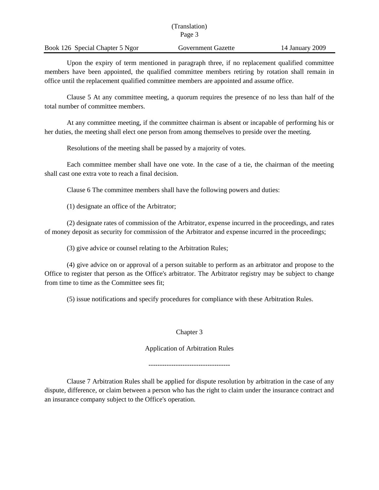|                                 | (Translation)             |                 |
|---------------------------------|---------------------------|-----------------|
|                                 | Page 3                    |                 |
| Book 126 Special Chapter 5 Ngor | <b>Government Gazette</b> | 14 January 2009 |

Upon the expiry of term mentioned in paragraph three, if no replacement qualified committee members have been appointed, the qualified committee members retiring by rotation shall remain in office until the replacement qualified committee members are appointed and assume office.

Clause 5 At any committee meeting, a quorum requires the presence of no less than half of the total number of committee members.

At any committee meeting, if the committee chairman is absent or incapable of performing his or her duties, the meeting shall elect one person from among themselves to preside over the meeting.

Resolutions of the meeting shall be passed by a majority of votes.

Each committee member shall have one vote. In the case of a tie, the chairman of the meeting shall cast one extra vote to reach a final decision.

Clause 6 The committee members shall have the following powers and duties:

(1) designate an office of the Arbitrator;

(2) designate rates of commission of the Arbitrator, expense incurred in the proceedings, and rates of money deposit as security for commission of the Arbitrator and expense incurred in the proceedings;

(3) give advice or counsel relating to the Arbitration Rules;

(4) give advice on or approval of a person suitable to perform as an arbitrator and propose to the Office to register that person as the Office's arbitrator. The Arbitrator registry may be subject to change from time to time as the Committee sees fit;

(5) issue notifications and specify procedures for compliance with these Arbitration Rules.

Chapter 3

Application of Arbitration Rules

------------------------------------

Clause 7 Arbitration Rules shall be applied for dispute resolution by arbitration in the case of any dispute, difference, or claim between a person who has the right to claim under the insurance contract and an insurance company subject to the Office's operation.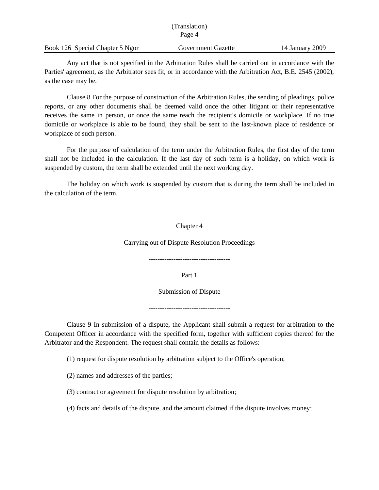| (Translation)                   |                    |                 |
|---------------------------------|--------------------|-----------------|
|                                 | Page 4             |                 |
| Book 126 Special Chapter 5 Ngor | Government Gazette | 14 January 2009 |

Any act that is not specified in the Arbitration Rules shall be carried out in accordance with the Parties' agreement, as the Arbitrator sees fit, or in accordance with the Arbitration Act, B.E. 2545 (2002), as the case may be.

Clause 8 For the purpose of construction of the Arbitration Rules, the sending of pleadings, police reports, or any other documents shall be deemed valid once the other litigant or their representative receives the same in person, or once the same reach the recipient's domicile or workplace. If no true domicile or workplace is able to be found, they shall be sent to the last-known place of residence or workplace of such person.

For the purpose of calculation of the term under the Arbitration Rules, the first day of the term shall not be included in the calculation. If the last day of such term is a holiday, on which work is suspended by custom, the term shall be extended until the next working day.

The holiday on which work is suspended by custom that is during the term shall be included in the calculation of the term.

## Chapter 4

Carrying out of Dispute Resolution Proceedings

------------------------------------

Part 1

Submission of Dispute

------------------------------------

Clause 9 In submission of a dispute, the Applicant shall submit a request for arbitration to the Competent Officer in accordance with the specified form, together with sufficient copies thereof for the Arbitrator and the Respondent. The request shall contain the details as follows:

(1) request for dispute resolution by arbitration subject to the Office's operation;

(2) names and addresses of the parties;

(3) contract or agreement for dispute resolution by arbitration;

(4) facts and details of the dispute, and the amount claimed if the dispute involves money;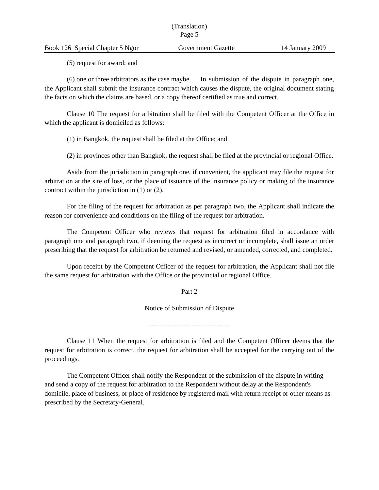## Book 126 Special Chapter 5 Ngor Government Gazette 14 January 2009

(5) request for award; and

(6) one or three arbitrators as the case maybe. In submission of the dispute in paragraph one, the Applicant shall submit the insurance contract which causes the dispute, the original document stating the facts on which the claims are based, or a copy thereof certified as true and correct.

Clause 10 The request for arbitration shall be filed with the Competent Officer at the Office in which the applicant is domiciled as follows:

(1) in Bangkok, the request shall be filed at the Office; and

(2) in provinces other than Bangkok, the request shall be filed at the provincial or regional Office.

Aside from the jurisdiction in paragraph one, if convenient, the applicant may file the request for arbitration at the site of loss, or the place of issuance of the insurance policy or making of the insurance contract within the jurisdiction in (1) or (2).

For the filing of the request for arbitration as per paragraph two, the Applicant shall indicate the reason for convenience and conditions on the filing of the request for arbitration.

The Competent Officer who reviews that request for arbitration filed in accordance with paragraph one and paragraph two, if deeming the request as incorrect or incomplete, shall issue an order prescribing that the request for arbitration be returned and revised, or amended, corrected, and completed.

Upon receipt by the Competent Officer of the request for arbitration, the Applicant shall not file the same request for arbitration with the Office or the provincial or regional Office.

Part 2

Notice of Submission of Dispute

------------------------------------

Clause 11 When the request for arbitration is filed and the Competent Officer deems that the request for arbitration is correct, the request for arbitration shall be accepted for the carrying out of the proceedings.

The Competent Officer shall notify the Respondent of the submission of the dispute in writing and send a copy of the request for arbitration to the Respondent without delay at the Respondent's domicile, place of business, or place of residence by registered mail with return receipt or other means as prescribed by the Secretary-General.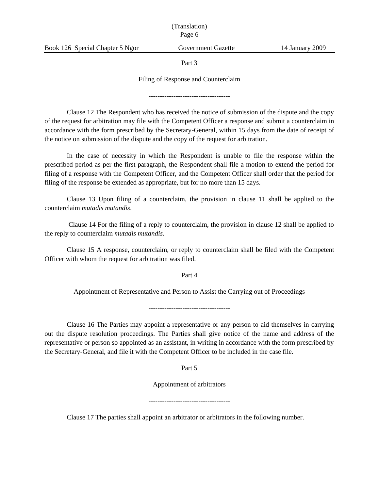Part 3

#### Filing of Response and Counterclaim

------------------------------------

Clause 12 The Respondent who has received the notice of submission of the dispute and the copy of the request for arbitration may file with the Competent Officer a response and submit a counterclaim in accordance with the form prescribed by the Secretary-General, within 15 days from the date of receipt of the notice on submission of the dispute and the copy of the request for arbitration.

In the case of necessity in which the Respondent is unable to file the response within the prescribed period as per the first paragraph, the Respondent shall file a motion to extend the period for filing of a response with the Competent Officer, and the Competent Officer shall order that the period for filing of the response be extended as appropriate, but for no more than 15 days.

Clause 13 Upon filing of a counterclaim, the provision in clause 11 shall be applied to the counterclaim *mutadis mutandis*.

Clause 14 For the filing of a reply to counterclaim, the provision in clause 12 shall be applied to the reply to counterclaim *mutadis mutandis*.

Clause 15 A response, counterclaim, or reply to counterclaim shall be filed with the Competent Officer with whom the request for arbitration was filed.

Part 4

Appointment of Representative and Person to Assist the Carrying out of Proceedings

------------------------------------

Clause 16 The Parties may appoint a representative or any person to aid themselves in carrying out the dispute resolution proceedings. The Parties shall give notice of the name and address of the representative or person so appointed as an assistant, in writing in accordance with the form prescribed by the Secretary-General, and file it with the Competent Officer to be included in the case file.

Part 5

Appointment of arbitrators

Clause 17 The parties shall appoint an arbitrator or arbitrators in the following number.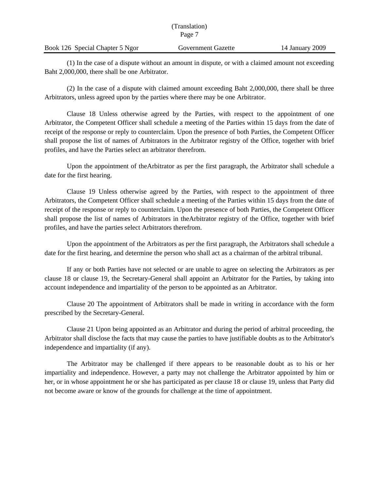|                                 | (Translation)      |                 |
|---------------------------------|--------------------|-----------------|
|                                 | Page 7             |                 |
| Book 126 Special Chapter 5 Ngor | Government Gazette | 14 January 2009 |

(1) In the case of a dispute without an amount in dispute, or with a claimed amount not exceeding Baht 2,000,000, there shall be one Arbitrator.

(2) In the case of a dispute with claimed amount exceeding Baht 2,000,000, there shall be three Arbitrators, unless agreed upon by the parties where there may be one Arbitrator.

Clause 18 Unless otherwise agreed by the Parties, with respect to the appointment of one Arbitrator, the Competent Officer shall schedule a meeting of the Parties within 15 days from the date of receipt of the response or reply to counterclaim. Upon the presence of both Parties, the Competent Officer shall propose the list of names of Arbitrators in the Arbitrator registry of the Office, together with brief profiles, and have the Parties select an arbitrator therefrom.

Upon the appointment of theArbitrator as per the first paragraph, the Arbitrator shall schedule a date for the first hearing.

Clause 19 Unless otherwise agreed by the Parties, with respect to the appointment of three Arbitrators, the Competent Officer shall schedule a meeting of the Parties within 15 days from the date of receipt of the response or reply to counterclaim. Upon the presence of both Parties, the Competent Officer shall propose the list of names of Arbitrators in theArbitrator registry of the Office, together with brief profiles, and have the parties select Arbitrators therefrom.

Upon the appointment of the Arbitrators as per the first paragraph, the Arbitrators shall schedule a date for the first hearing, and determine the person who shall act as a chairman of the arbitral tribunal.

If any or both Parties have not selected or are unable to agree on selecting the Arbitrators as per clause 18 or clause 19, the Secretary-General shall appoint an Arbitrator for the Parties, by taking into account independence and impartiality of the person to be appointed as an Arbitrator.

Clause 20 The appointment of Arbitrators shall be made in writing in accordance with the form prescribed by the Secretary-General.

Clause 21 Upon being appointed as an Arbitrator and during the period of arbitral proceeding, the Arbitrator shall disclose the facts that may cause the parties to have justifiable doubts as to the Arbitrator's independence and impartiality (if any).

The Arbitrator may be challenged if there appears to be reasonable doubt as to his or her impartiality and independence. However, a party may not challenge the Arbitrator appointed by him or her, or in whose appointment he or she has participated as per clause 18 or clause 19, unless that Party did not become aware or know of the grounds for challenge at the time of appointment.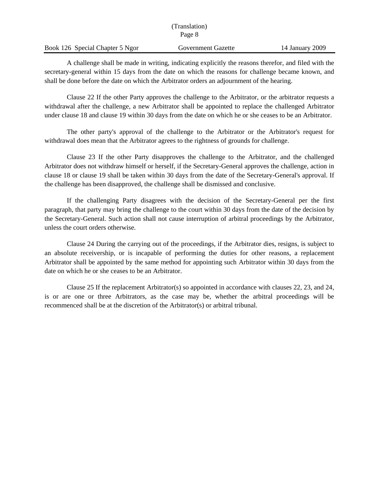|                                 | (Translation)<br>Page 8 |                 |
|---------------------------------|-------------------------|-----------------|
| Book 126 Special Chapter 5 Ngor | Government Gazette      | 14 January 2009 |

A challenge shall be made in writing, indicating explicitly the reasons therefor, and filed with the secretary-general within 15 days from the date on which the reasons for challenge became known, and shall be done before the date on which the Arbitrator orders an adjournment of the hearing.

Clause 22 If the other Party approves the challenge to the Arbitrator, or the arbitrator requests a withdrawal after the challenge, a new Arbitrator shall be appointed to replace the challenged Arbitrator under clause 18 and clause 19 within 30 days from the date on which he or she ceases to be an Arbitrator.

The other party's approval of the challenge to the Arbitrator or the Arbitrator's request for withdrawal does mean that the Arbitrator agrees to the rightness of grounds for challenge.

Clause 23 If the other Party disapproves the challenge to the Arbitrator, and the challenged Arbitrator does not withdraw himself or herself, if the Secretary-General approves the challenge, action in clause 18 or clause 19 shall be taken within 30 days from the date of the Secretary-General's approval. If the challenge has been disapproved, the challenge shall be dismissed and conclusive.

If the challenging Party disagrees with the decision of the Secretary-General per the first paragraph, that party may bring the challenge to the court within 30 days from the date of the decision by the Secretary-General. Such action shall not cause interruption of arbitral proceedings by the Arbitrator, unless the court orders otherwise.

Clause 24 During the carrying out of the proceedings, if the Arbitrator dies, resigns, is subject to an absolute receivership, or is incapable of performing the duties for other reasons, a replacement Arbitrator shall be appointed by the same method for appointing such Arbitrator within 30 days from the date on which he or she ceases to be an Arbitrator.

Clause 25 If the replacement Arbitrator(s) so appointed in accordance with clauses 22, 23, and 24, is or are one or three Arbitrators, as the case may be, whether the arbitral proceedings will be recommenced shall be at the discretion of the Arbitrator(s) or arbitral tribunal.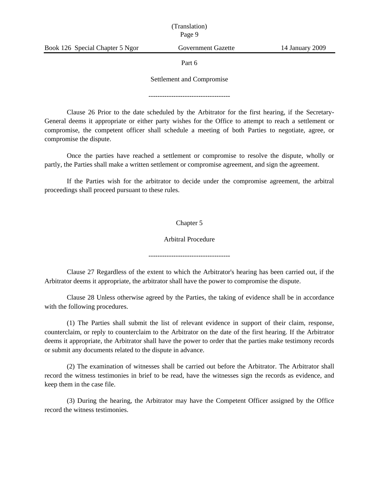## (Translation) Page 9

Part 6

#### Settlement and Compromise

------------------------------------

Clause 26 Prior to the date scheduled by the Arbitrator for the first hearing, if the Secretary-General deems it appropriate or either party wishes for the Office to attempt to reach a settlement or compromise, the competent officer shall schedule a meeting of both Parties to negotiate, agree, or compromise the dispute.

Once the parties have reached a settlement or compromise to resolve the dispute, wholly or partly, the Parties shall make a written settlement or compromise agreement, and sign the agreement.

If the Parties wish for the arbitrator to decide under the compromise agreement, the arbitral proceedings shall proceed pursuant to these rules.

## Chapter 5

#### Arbitral Procedure

------------------------------------

Clause 27 Regardless of the extent to which the Arbitrator's hearing has been carried out, if the Arbitrator deems it appropriate, the arbitrator shall have the power to compromise the dispute.

Clause 28 Unless otherwise agreed by the Parties, the taking of evidence shall be in accordance with the following procedures.

(1) The Parties shall submit the list of relevant evidence in support of their claim, response, counterclaim, or reply to counterclaim to the Arbitrator on the date of the first hearing. If the Arbitrator deems it appropriate, the Arbitrator shall have the power to order that the parties make testimony records or submit any documents related to the dispute in advance.

(2) The examination of witnesses shall be carried out before the Arbitrator. The Arbitrator shall record the witness testimonies in brief to be read, have the witnesses sign the records as evidence, and keep them in the case file.

(3) During the hearing, the Arbitrator may have the Competent Officer assigned by the Office record the witness testimonies.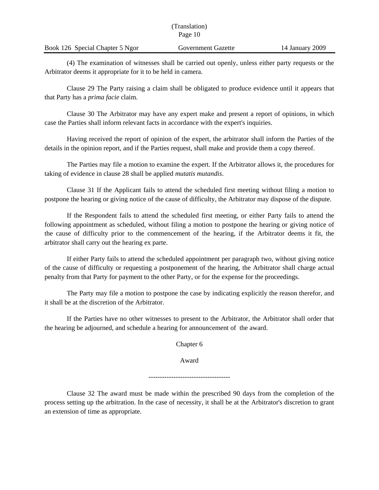|                                 | (Translation)      |                 |
|---------------------------------|--------------------|-----------------|
|                                 | Page 10            |                 |
| Book 126 Special Chapter 5 Ngor | Government Gazette | 14 January 2009 |

(4) The examination of witnesses shall be carried out openly, unless either party requests or the Arbitrator deems it appropriate for it to be held in camera.

Clause 29 The Party raising a claim shall be obligated to produce evidence until it appears that that Party has a *prima facie* claim.

Clause 30 The Arbitrator may have any expert make and present a report of opinions, in which case the Parties shall inform relevant facts in accordance with the expert's inquiries.

Having received the report of opinion of the expert, the arbitrator shall inform the Parties of the details in the opinion report, and if the Parties request, shall make and provide them a copy thereof.

The Parties may file a motion to examine the expert. If the Arbitrator allows it, the procedures for taking of evidence in clause 28 shall be applied *mutatis mutandis*.

Clause 31 If the Applicant fails to attend the scheduled first meeting without filing a motion to postpone the hearing or giving notice of the cause of difficulty, the Arbitrator may dispose of the dispute.

If the Respondent fails to attend the scheduled first meeting, or either Party fails to attend the following appointment as scheduled, without filing a motion to postpone the hearing or giving notice of the cause of difficulty prior to the commencement of the hearing, if the Arbitrator deems it fit, the arbitrator shall carry out the hearing ex parte.

If either Party fails to attend the scheduled appointment per paragraph two, without giving notice of the cause of difficulty or requesting a postponement of the hearing, the Arbitrator shall charge actual penalty from that Party for payment to the other Party, or for the expense for the proceedings.

The Party may file a motion to postpone the case by indicating explicitly the reason therefor, and it shall be at the discretion of the Arbitrator.

If the Parties have no other witnesses to present to the Arbitrator, the Arbitrator shall order that the hearing be adjourned, and schedule a hearing for announcement of the award.

Chapter 6

Award

------------------------------------

Clause 32 The award must be made within the prescribed 90 days from the completion of the process setting up the arbitration. In the case of necessity, it shall be at the Arbitrator's discretion to grant an extension of time as appropriate.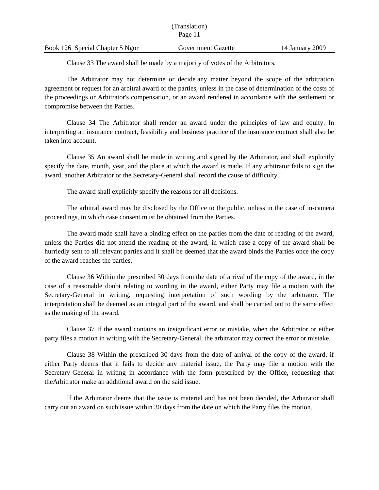|                                 | (Translation)<br>Page 11 |                 |
|---------------------------------|--------------------------|-----------------|
| Book 126 Special Chapter 5 Ngor | Government Gazette       | 14 January 2009 |

Clause 33 The award shall be made by a majority of votes of the Arbitrators.

The Arbitrator may not determine or decide any matter beyond the scope of the arbitration agreement or request for an arbitral award of the parties, unless in the case of determination of the costs of the proceedings or Arbitrator's compensation, or an award rendered in accordance with the settlement or compromise between the Parties.

Clause 34 The Arbitrator shall render an award under the principles of law and equity. In interpreting an insurance contract, feasibility and business practice of the insurance contract shall also be taken into account.

Clause 35 An award shall be made in writing and signed by the Arbitrator, and shall explicitly specify the date, month, year, and the place at which the award is made. If any arbitrator fails to sign the award, another Arbitrator or the Secretary-General shall record the cause of difficulty.

The award shall explicitly specify the reasons for all decisions.

The arbitral award may be disclosed by the Office to the public, unless in the case of in-camera proceedings, in which case consent must be obtained from the Parties.

The award made shall have a binding effect on the parties from the date of reading of the award, unless the Parties did not attend the reading of the award, in which case a copy of the award shall be hurriedly sent to all relevant parties and it shall be deemed that the award binds the Parties once the copy of the award reaches the parties.

Clause 36 Within the prescribed 30 days from the date of arrival of the copy of the award, in the case of a reasonable doubt relating to wording in the award, either Party may file a motion with the Secretary-General in writing, requesting interpretation of such wording by the arbitrator. The interpretation shall be deemed as an integral part of the award, and shall be carried out to the same effect as the making of the award.

Clause 37 If the award contains an insignificant error or mistake, when the Arbitrator or either party files a motion in writing with the Secretary-General, the arbitrator may correct the error or mistake.

Clause 38 Within the prescribed 30 days from the date of arrival of the copy of the award, if either Party deems that it fails to decide any material issue, the Party may file a motion with the Secretary-General in writing in accordance with the form prescribed by the Office, requesting that theArbitrator make an additional award on the said issue.

If the Arbitrator deems that the issue is material and has not been decided, the Arbitrator shall carry out an award on such issue within 30 days from the date on which the Party files the motion.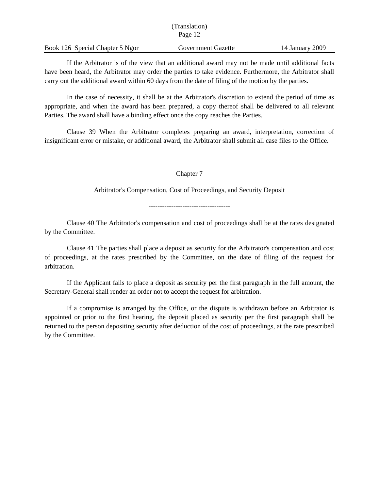| (Translation)                   |                    |                 |
|---------------------------------|--------------------|-----------------|
|                                 | Page 12            |                 |
| Book 126 Special Chapter 5 Ngor | Government Gazette | 14 January 2009 |

If the Arbitrator is of the view that an additional award may not be made until additional facts have been heard, the Arbitrator may order the parties to take evidence. Furthermore, the Arbitrator shall carry out the additional award within 60 days from the date of filing of the motion by the parties.

In the case of necessity, it shall be at the Arbitrator's discretion to extend the period of time as appropriate, and when the award has been prepared, a copy thereof shall be delivered to all relevant Parties. The award shall have a binding effect once the copy reaches the Parties.

Clause 39 When the Arbitrator completes preparing an award, interpretation, correction of insignificant error or mistake, or additional award, the Arbitrator shall submit all case files to the Office.

Chapter 7

Arbitrator's Compensation, Cost of Proceedings, and Security Deposit

------------------------------------

Clause 40 The Arbitrator's compensation and cost of proceedings shall be at the rates designated by the Committee.

Clause 41 The parties shall place a deposit as security for the Arbitrator's compensation and cost of proceedings, at the rates prescribed by the Committee, on the date of filing of the request for arbitration.

If the Applicant fails to place a deposit as security per the first paragraph in the full amount, the Secretary-General shall render an order not to accept the request for arbitration.

If a compromise is arranged by the Office, or the dispute is withdrawn before an Arbitrator is appointed or prior to the first hearing, the deposit placed as security per the first paragraph shall be returned to the person depositing security after deduction of the cost of proceedings, at the rate prescribed by the Committee.